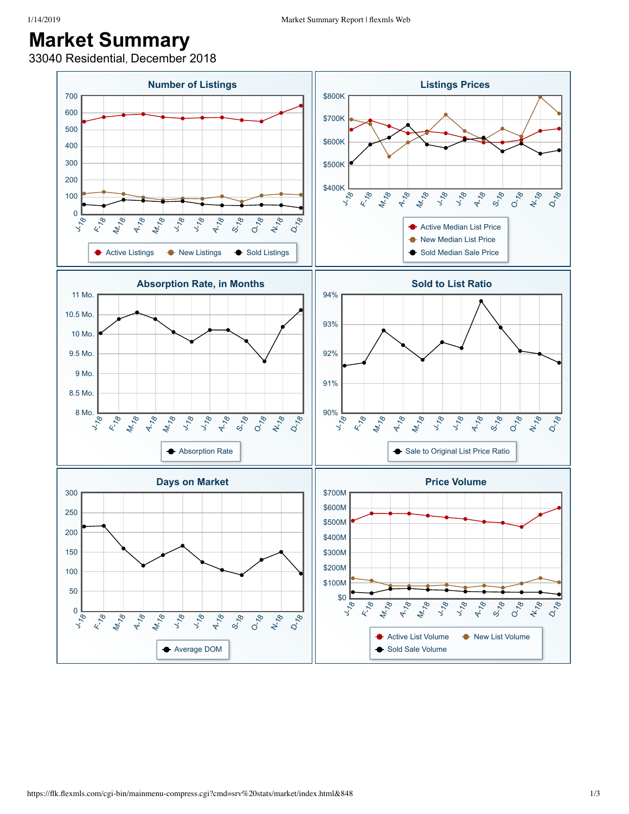## **Market Summary**

33040 Residential, December 2018

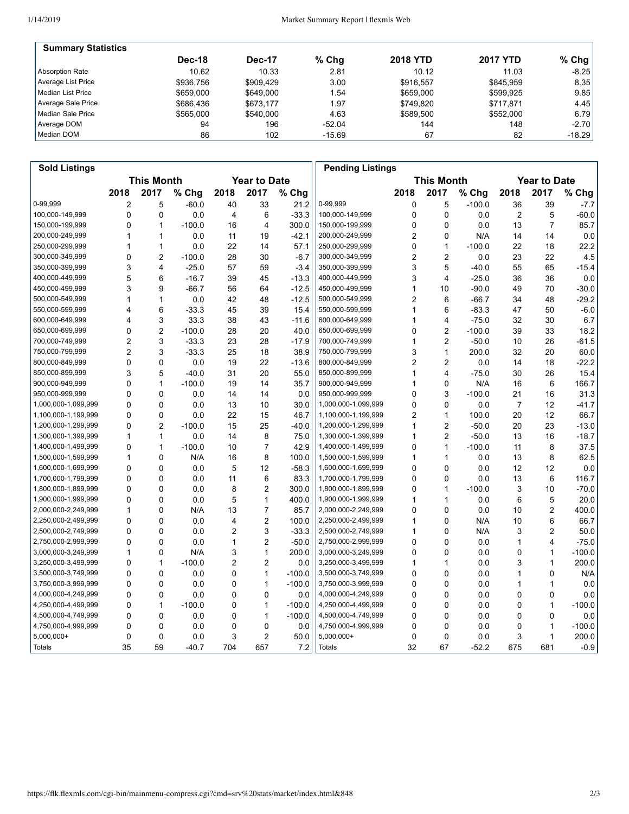| <b>Summary Statistics</b> |           |               |          |                 |                 |         |
|---------------------------|-----------|---------------|----------|-----------------|-----------------|---------|
|                           | Dec-18    | <b>Dec-17</b> | $%$ Chq  | <b>2018 YTD</b> | <b>2017 YTD</b> | $%$ Chg |
| Absorption Rate           | 10.62     | 10.33         | 2.81     | 10.12           | 11.03           | $-8.25$ |
| Average List Price        | \$936.756 | \$909.429     | 3.00     | \$916.557       | \$845.959       | 8.35    |
| Median List Price         | \$659,000 | \$649,000     | 1.54     | \$659,000       | \$599.925       | 9.85    |
| Average Sale Price        | \$686.436 | \$673.177     | 1.97     | \$749.820       | \$717.871       | 4.45    |
| Median Sale Price         | \$565,000 | \$540.000     | 4.63     | \$589.500       | \$552,000       | 6.79    |
| Average DOM               | 94        | 196           | $-52.04$ | 144             | 148             | $-2.70$ |
| Median DOM                | 86        | 102           | $-15.69$ | 67              | 82              | -18.29  |

| <b>Sold Listings</b> |                                          |                |          |                |                |          | <b>Pending Listings</b> |                |                         |          |      |                |          |
|----------------------|------------------------------------------|----------------|----------|----------------|----------------|----------|-------------------------|----------------|-------------------------|----------|------|----------------|----------|
|                      | <b>This Month</b><br><b>Year to Date</b> |                |          |                |                |          | <b>Year to Date</b>     |                |                         |          |      |                |          |
|                      | 2018                                     | 2017           | % Chg    | 2018           | 2017           | % Chg    |                         | 2018           | 2017                    | % Chg    | 2018 | 2017           | % Chg    |
| 0-99,999             | 2                                        | 5              | $-60.0$  | 40             | 33             | 21.2     | 0-99,999                | 0              | 5                       | $-100.0$ | 36   | 39             | $-7.7$   |
| 100,000-149,999      | 0                                        | 0              | 0.0      | $\overline{4}$ | 6              | $-33.3$  | 100,000-149,999         | 0              | 0                       | 0.0      | 2    | 5              | $-60.0$  |
| 150,000-199,999      | 0                                        | $\mathbf{1}$   | $-100.0$ | 16             | 4              | 300.0    | 150,000-199,999         | 0              | $\mathbf 0$             | 0.0      | 13   | $\overline{7}$ | 85.7     |
| 200,000-249,999      | 1                                        | 1              | 0.0      | 11             | 19             | $-42.1$  | 200,000-249,999         | $\overline{c}$ | $\mathbf 0$             | N/A      | 14   | 14             | 0.0      |
| 250,000-299,999      | 1                                        | $\mathbf{1}$   | 0.0      | 22             | 14             | 57.1     | 250,000-299,999         | 0              | $\mathbf{1}$            | $-100.0$ | 22   | 18             | 22.2     |
| 300,000-349,999      | 0                                        | $\overline{2}$ | $-100.0$ | 28             | 30             | $-6.7$   | 300,000-349,999         | 2              | $\overline{2}$          | 0.0      | 23   | 22             | 4.5      |
| 350,000-399,999      | 3                                        | $\overline{4}$ | $-25.0$  | 57             | 59             | $-3.4$   | 350,000-399,999         | 3              | 5                       | $-40.0$  | 55   | 65             | $-15.4$  |
| 400,000-449,999      | 5                                        | 6              | $-16.7$  | 39             | 45             | $-13.3$  | 400,000-449,999         | 3              | $\overline{\mathbf{4}}$ | $-25.0$  | 36   | 36             | 0.0      |
| 450,000-499,999      | 3                                        | 9              | $-66.7$  | 56             | 64             | $-12.5$  | 450,000-499,999         | 1              | 10                      | $-90.0$  | 49   | 70             | $-30.0$  |
| 500,000-549,999      | 1                                        | $\mathbf{1}$   | 0.0      | 42             | 48             | $-12.5$  | 500,000-549,999         | 2              | 6                       | $-66.7$  | 34   | 48             | $-29.2$  |
| 550,000-599,999      | 4                                        | 6              | $-33.3$  | 45             | 39             | 15.4     | 550,000-599,999         | 1              | 6                       | $-83.3$  | 47   | 50             | $-6.0$   |
| 600,000-649,999      | 4                                        | 3              | 33.3     | 38             | 43             | $-11.6$  | 600,000-649,999         | 1              | 4                       | $-75.0$  | 32   | 30             | 6.7      |
| 650,000-699,999      | 0                                        | $\overline{2}$ | $-100.0$ | 28             | 20             | 40.0     | 650,000-699,999         | 0              | $\overline{2}$          | $-100.0$ | 39   | 33             | 18.2     |
| 700,000-749,999      | $\overline{2}$                           | 3              | $-33.3$  | 23             | 28             | $-17.9$  | 700,000-749,999         | 1              | $\overline{2}$          | $-50.0$  | 10   | 26             | $-61.5$  |
| 750,000-799,999      | $\overline{2}$                           | 3              | $-33.3$  | 25             | 18             | 38.9     | 750,000-799,999         | 3              | $\mathbf{1}$            | 200.0    | 32   | 20             | 60.0     |
| 800,000-849,999      | 0                                        | $\mathbf 0$    | 0.0      | 19             | 22             | $-13.6$  | 800,000-849,999         | 2              | $\overline{2}$          | 0.0      | 14   | 18             | $-22.2$  |
| 850,000-899,999      | 3                                        | 5              | $-40.0$  | 31             | 20             | 55.0     | 850,000-899,999         | 1              | $\overline{\mathbf{4}}$ | $-75.0$  | 30   | 26             | 15.4     |
| 900,000-949,999      | 0                                        | $\mathbf{1}$   | $-100.0$ | 19             | 14             | 35.7     | 900,000-949,999         | 1              | 0                       | N/A      | 16   | 6              | 166.7    |
| 950,000-999,999      | 0                                        | $\mathbf 0$    | 0.0      | 14             | 14             | 0.0      | 950,000-999,999         | 0              | 3                       | $-100.0$ | 21   | 16             | 31.3     |
| 1,000,000-1,099,999  | 0                                        | $\mathbf 0$    | 0.0      | 13             | 10             | 30.0     | 1,000,000-1,099,999     | 0              | $\mathbf 0$             | 0.0      | 7    | 12             | $-41.7$  |
| 1,100,000-1,199,999  | 0                                        | 0              | 0.0      | 22             | 15             | 46.7     | 1,100,000-1,199,999     | 2              | $\mathbf{1}$            | 100.0    | 20   | 12             | 66.7     |
| 1,200,000-1,299,999  | $\mathbf 0$                              | $\overline{2}$ | $-100.0$ | 15             | 25             | $-40.0$  | 1,200,000-1,299,999     | 1              | $\overline{c}$          | $-50.0$  | 20   | 23             | $-13.0$  |
| 1,300,000-1,399,999  | 1                                        | $\mathbf{1}$   | 0.0      | 14             | 8              | 75.0     | 1,300,000-1,399,999     | 1              | $\overline{c}$          | $-50.0$  | 13   | 16             | $-18.7$  |
| 1,400,000-1,499,999  | $\mathbf 0$                              | $\mathbf{1}$   | $-100.0$ | 10             | $\overline{7}$ | 42.9     | 1,400,000-1,499,999     | 0              | $\mathbf{1}$            | $-100.0$ | 11   | 8              | 37.5     |
| 1,500,000-1,599,999  | 1                                        | $\mathbf 0$    | N/A      | 16             | 8              | 100.0    | 1,500,000-1,599,999     | 1              | $\mathbf{1}$            | 0.0      | 13   | 8              | 62.5     |
| 1,600,000-1,699,999  | 0                                        | $\mathbf 0$    | 0.0      | 5              | 12             | $-58.3$  | 1,600,000-1,699,999     | 0              | $\mathbf 0$             | 0.0      | 12   | 12             | 0.0      |
| 1,700,000-1,799,999  | $\mathbf 0$                              | $\mathbf{0}$   | 0.0      | 11             | 6              | 83.3     | 1,700,000-1,799,999     | 0              | 0                       | 0.0      | 13   | 6              | 116.7    |
| 1,800,000-1,899,999  | 0                                        | $\Omega$       | 0.0      | 8              | $\overline{c}$ | 300.0    | 1,800,000-1,899,999     | 0              | 1                       | $-100.0$ | 3    | 10             | $-70.0$  |
| 1,900,000-1,999,999  | $\mathbf 0$                              | $\mathbf 0$    | 0.0      | 5              | 1              | 400.0    | 1,900,000-1,999,999     | 1              | 1                       | 0.0      | 6    | 5              | 20.0     |
| 2,000,000-2,249,999  | 1                                        | $\mathbf 0$    | N/A      | 13             | $\overline{7}$ | 85.7     | 2,000,000-2,249,999     | 0              | $\mathbf 0$             | 0.0      | 10   | 2              | 400.0    |
| 2,250,000-2,499,999  | 0                                        | 0              | 0.0      | 4              | $\overline{2}$ | 100.0    | 2,250,000-2,499,999     | 1              | 0                       | N/A      | 10   | 6              | 66.7     |
| 2,500,000-2,749,999  | 0                                        | $\mathbf 0$    | 0.0      | 2              | 3              | $-33.3$  | 2,500,000-2,749,999     | 1              | $\Omega$                | N/A      | 3    | $\overline{2}$ | 50.0     |
| 2,750,000-2,999,999  | 0                                        | $\Omega$       | 0.0      | 1              | $\overline{2}$ | $-50.0$  | 2,750,000-2,999,999     | 0              | 0                       | 0.0      | 1    | 4              | $-75.0$  |
| 3,000,000-3,249,999  | 1                                        | 0              | N/A      | 3              | 1              | 200.0    | 3,000,000-3,249,999     | 0              | $\mathbf 0$             | 0.0      | 0    | 1              | $-100.0$ |
| 3,250,000-3,499,999  | $\mathbf 0$                              | $\mathbf{1}$   | $-100.0$ | $\overline{2}$ | $\overline{2}$ | 0.0      | 3,250,000-3,499,999     | 1              | $\mathbf{1}$            | 0.0      | 3    | 1              | 200.0    |
| 3,500,000-3,749,999  | 0                                        | 0              | 0.0      | 0              | 1              | $-100.0$ | 3,500,000-3,749,999     | 0              | 0                       | 0.0      | 1    | 0              | N/A      |
| 3,750,000-3,999,999  | 0                                        | $\Omega$       | 0.0      | 0              | 1              | $-100.0$ | 3,750,000-3,999,999     | 0              | $\mathbf 0$             | 0.0      | 1    | 1              | 0.0      |
| 4,000,000-4,249,999  | 0                                        | $\mathbf{0}$   | 0.0      | 0              | 0              | 0.0      | 4,000,000-4,249,999     | 0              | $\Omega$                | 0.0      | 0    | 0              | 0.0      |
| 4,250,000-4,499,999  | $\mathbf 0$                              | $\mathbf{1}$   | $-100.0$ | 0              | 1              | $-100.0$ | 4,250,000-4,499,999     | 0              | $\mathbf 0$             | 0.0      | 0    | $\mathbf{1}$   | $-100.0$ |
| 4,500,000-4,749,999  | 0                                        | $\mathbf 0$    | 0.0      | 0              | $\mathbf{1}$   | $-100.0$ | 4,500,000-4,749,999     | 0              | $\mathbf 0$             | 0.0      | 0    | 0              | 0.0      |
| 4,750,000-4,999,999  | 0                                        | 0              | 0.0      | 0              | 0              | 0.0      | 4,750,000-4,999,999     | 0              | 0                       | 0.0      | 0    | 1              | $-100.0$ |
| 5,000,000+           | 0                                        | 0              | 0.0      | 3              | $\overline{c}$ | 50.0     | 5,000,000+              | 0              | $\mathbf 0$             | 0.0      | 3    | 1              | 200.0    |
| Totals               | 35                                       | 59             | $-40.7$  | 704            | 657            | 7.2      | <b>Totals</b>           | 32             | 67                      | $-52.2$  | 675  | 681            | $-0.9$   |
|                      |                                          |                |          |                |                |          |                         |                |                         |          |      |                |          |